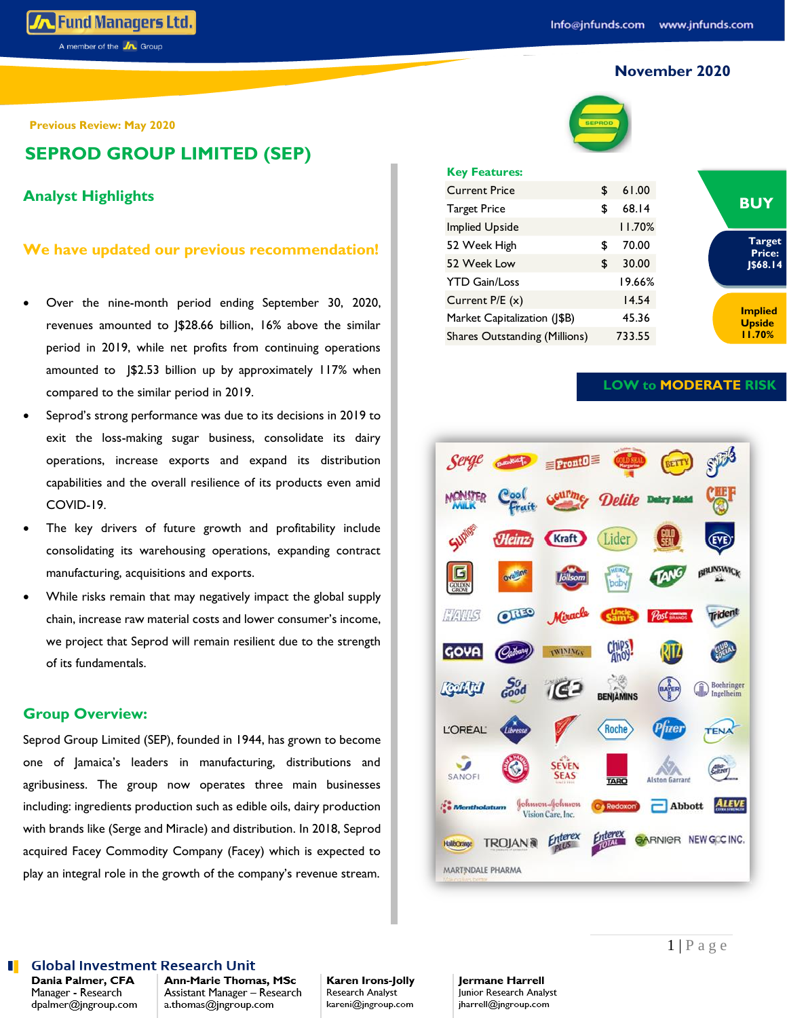## **November 2020**

**Previous Review: May 2020**

**SEPROD GROUP LIMITED (SEP)**

## **Analyst Highlights**

## **We have updated our previous recommendation!**

- Over the nine-month period ending September 30, 2020, revenues amounted to J\$28.66 billion, 16% above the similar period in 2019, while net profits from continuing operations amounted to J\$2.53 billion up by approximately 117% when compared to the similar period in 2019.
- Seprod's strong performance was due to its decisions in 2019 to exit the loss-making sugar business, consolidate its dairy operations, increase exports and expand its distribution capabilities and the overall resilience of its products even amid COVID-19.
- The key drivers of future growth and profitability include consolidating its warehousing operations, expanding contract manufacturing, acquisitions and exports.
- While risks remain that may negatively impact the global supply chain, increase raw material costs and lower consumer's income, we project that Seprod will remain resilient due to the strength of its fundamentals.

## **Group Overview:**

Seprod Group Limited (SEP), founded in 1944, has grown to become one of Jamaica's leaders in manufacturing, distributions and agribusiness. The group now operates three main businesses including: ingredients production such as edible oils, dairy production with brands like (Serge and Miracle) and distribution. In 2018, Seprod acquired Facey Commodity Company (Facey) which is expected to play an integral role in the growth of the company's revenue stream.



### **Key Features:**

| \$ | 61.00  |
|----|--------|
| \$ | 68.14  |
|    | 11.70% |
| S  | 70.00  |
| \$ | 30.00  |
|    | 19.66% |
|    | 14.54  |
|    | 45.36  |
|    | 733.55 |
|    |        |



**LOW to MODERATE RISK**



### **Global Investment Research Unit**

Dania Palmer, CFA Manager - Research dpalmer@jngroup.com Ann-Marie Thomas, MSc Assistant Manager - Research a.thomas@jngroup.com

Karen Irons-Jolly Research Analyst kareni@jngroup.com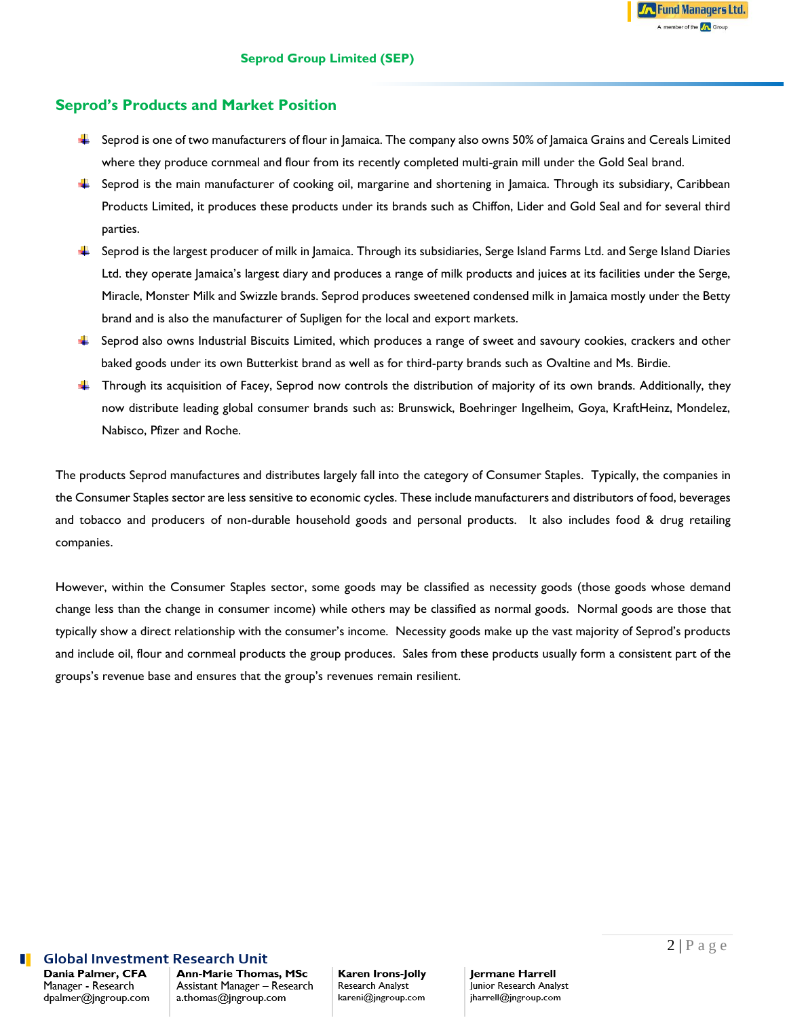## **Seprod's Products and Market Position**

- Seprod is one of two manufacturers of flour in Jamaica. The company also owns 50% of Jamaica Grains and Cereals Limited where they produce cornmeal and flour from its recently completed multi-grain mill under the Gold Seal brand.
- Seprod is the main manufacturer of cooking oil, margarine and shortening in Jamaica. Through its subsidiary, Caribbean Products Limited, it produces these products under its brands such as Chiffon, Lider and Gold Seal and for several third parties.
- F Seprod is the largest producer of milk in Jamaica. Through its subsidiaries, Serge Island Farms Ltd. and Serge Island Diaries Ltd. they operate Jamaica's largest diary and produces a range of milk products and juices at its facilities under the Serge, Miracle, Monster Milk and Swizzle brands. Seprod produces sweetened condensed milk in Jamaica mostly under the Betty brand and is also the manufacturer of Supligen for the local and export markets.
- $\ddot{\phantom{1}}$  Seprod also owns Industrial Biscuits Limited, which produces a range of sweet and savoury cookies, crackers and other baked goods under its own Butterkist brand as well as for third-party brands such as Ovaltine and Ms. Birdie.
- **Through its acquisition of Facey, Seprod now controls the distribution of majority of its own brands. Additionally, they** now distribute leading global consumer brands such as: Brunswick, Boehringer Ingelheim, Goya, KraftHeinz, Mondelez, Nabisco, Pfizer and Roche.

The products Seprod manufactures and distributes largely fall into the category of Consumer Staples. Typically, the companies in the Consumer Staples sector are less sensitive to economic cycles. These include manufacturers and distributors of food, beverages and tobacco and producers of non-durable household goods and personal products. It also includes food & drug retailing companies.

However, within the Consumer Staples sector, some goods may be classified as necessity goods (those goods whose demand change less than the change in consumer income) while others may be classified as normal goods. Normal goods are those that typically show a direct relationship with the consumer's income. Necessity goods make up the vast majority of Seprod's products and include oil, flour and cornmeal products the group produces. Sales from these products usually form a consistent part of the groups's revenue base and ensures that the group's revenues remain resilient.

### **Global Investment Research Unit**

Dania Palmer, CFA Manager - Research dpalmer@jngroup.com

Ann-Marie Thomas, MSc Assistant Manager - Research a.thomas@jngroup.com

### Karen Irons-Jolly Research Analyst kareni@jngroup.com

Jermane Harrell Junior Research Analyst jharrell@jngroup.com

**A** Fund Managers Ltd. A member of the **A** Group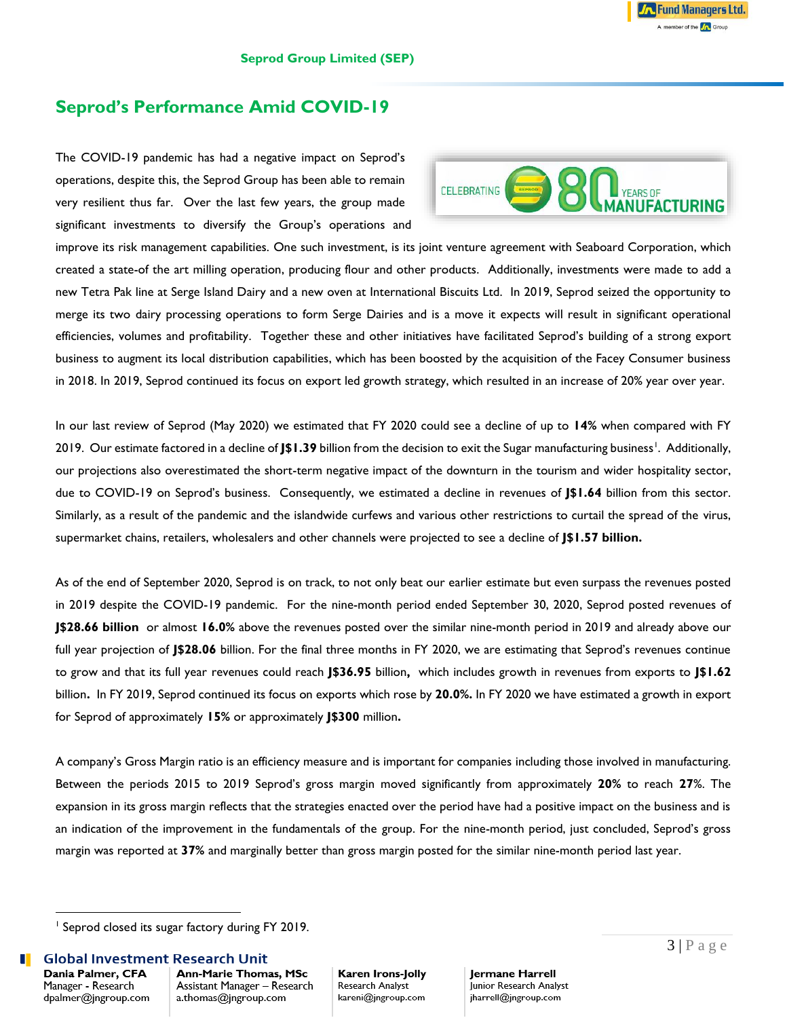# **Seprod's Performance Amid COVID-19**

The COVID-19 pandemic has had a negative impact on Seprod's operations, despite this, the Seprod Group has been able to remain very resilient thus far. Over the last few years, the group made significant investments to diversify the Group's operations and



improve its risk management capabilities. One such investment, is its joint venture agreement with Seaboard Corporation, which created a state-of the art milling operation, producing flour and other products. Additionally, investments were made to add a new Tetra Pak line at Serge Island Dairy and a new oven at International Biscuits Ltd. In 2019, Seprod seized the opportunity to merge its two dairy processing operations to form Serge Dairies and is a move it expects will result in significant operational efficiencies, volumes and profitability. Together these and other initiatives have facilitated Seprod's building of a strong export business to augment its local distribution capabilities, which has been boosted by the acquisition of the Facey Consumer business in 2018. In 2019, Seprod continued its focus on export led growth strategy, which resulted in an increase of 20% year over year.

In our last review of Seprod (May 2020) we estimated that FY 2020 could see a decline of up to **14%** when compared with FY 2019. Our estimate factored in a decline of **J\$1.39** billion from the decision to exit the Sugar manufacturing business<sup>1</sup>. Additionally, our projections also overestimated the short-term negative impact of the downturn in the tourism and wider hospitality sector, due to COVID-19 on Seprod's business. Consequently, we estimated a decline in revenues of **J\$1.64** billion from this sector. Similarly, as a result of the pandemic and the islandwide curfews and various other restrictions to curtail the spread of the virus, supermarket chains, retailers, wholesalers and other channels were projected to see a decline of **J\$1.57 billion.**

As of the end of September 2020, Seprod is on track, to not only beat our earlier estimate but even surpass the revenues posted in 2019 despite the COVID-19 pandemic. For the nine-month period ended September 30, 2020, Seprod posted revenues of **J\$28.66 billion** or almost **16.0%** above the revenues posted over the similar nine-month period in 2019 and already above our full year projection of **J\$28.06** billion. For the final three months in FY 2020, we are estimating that Seprod's revenues continue to grow and that its full year revenues could reach **J\$36.95** billion**,** which includes growth in revenues from exports to **J\$1.62** billion**.** In FY 2019, Seprod continued its focus on exports which rose by **20.0%.** In FY 2020 we have estimated a growth in export for Seprod of approximately **15%** or approximately **J\$300** million**.**

A company's Gross Margin ratio is an efficiency measure and is important for companies including those involved in manufacturing. Between the periods 2015 to 2019 Seprod's gross margin moved significantly from approximately **20%** to reach **27**%. The expansion in its gross margin reflects that the strategies enacted over the period have had a positive impact on the business and is an indication of the improvement in the fundamentals of the group. For the nine-month period, just concluded, Seprod's gross margin was reported at **37%** and marginally better than gross margin posted for the similar nine-month period last year.

Dania Palmer, CFA Manager - Research dpalmer@jngroup.com Ann-Marie Thomas, MSc Assistant Manager - Research a.thomas@jngroup.com

Karen Irons-Jolly Research Analyst kareni@jngroup.com

<sup>&</sup>lt;sup>1</sup> Seprod closed its sugar factory during FY 2019.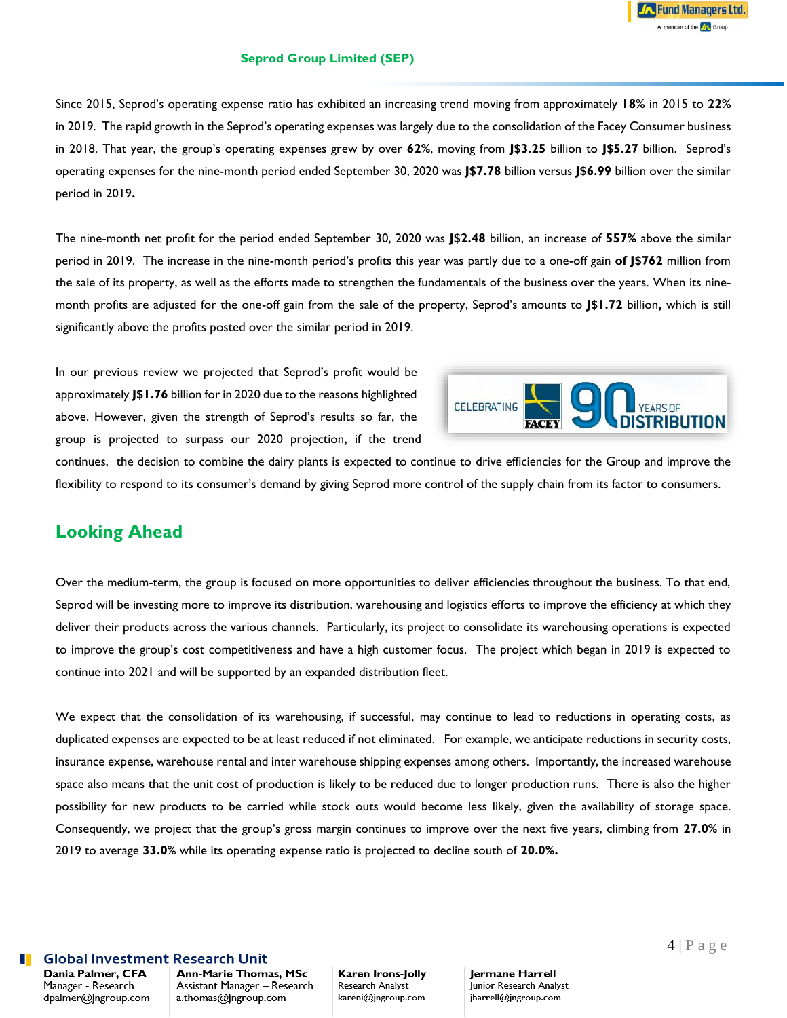### **Seprod Group Limited (SEP)**

Since 2015, Seprod's operating expense ratio has exhibited an increasing trend moving from approximately **18%** in 2015 to **22%** in 2019. The rapid growth in the Seprod's operating expenses was largely due to the consolidation of the Facey Consumer business in 2018. That year, the group's operating expenses grew by over **62%**, moving from **J\$3.25** billion to **J\$5.27** billion. Seprod's operating expenses for the nine-month period ended September 30, 2020 was **J\$7.78** billion versus **J\$6.99** billion over the similar period in 2019**.**

The nine-month net profit for the period ended September 30, 2020 was **J\$2.48** billion, an increase of **557%** above the similar period in 2019. The increase in the nine-month period's profits this year was partly due to a one-off gain **of J\$762** million from the sale of its property, as well as the efforts made to strengthen the fundamentals of the business over the years. When its ninemonth profits are adjusted for the one-off gain from the sale of the property, Seprod's amounts to **J\$1.72** billion**,** which is still significantly above the profits posted over the similar period in 2019.

In our previous review we projected that Seprod's profit would be approximately **J\$1.76** billion for in 2020 due to the reasons highlighted above. However, given the strength of Seprod's results so far, the group is projected to surpass our 2020 projection, if the trend



continues, the decision to combine the dairy plants is expected to continue to drive efficiencies for the Group and improve the flexibility to respond to its consumer's demand by giving Seprod more control of the supply chain from its factor to consumers.

# **Looking Ahead**

Over the medium-term, the group is focused on more opportunities to deliver efficiencies throughout the business. To that end, Seprod will be investing more to improve its distribution, warehousing and logistics efforts to improve the efficiency at which they deliver their products across the various channels. Particularly, its project to consolidate its warehousing operations is expected to improve the group's cost competitiveness and have a high customer focus. The project which began in 2019 is expected to continue into 2021 and will be supported by an expanded distribution fleet.

We expect that the consolidation of its warehousing, if successful, may continue to lead to reductions in operating costs, as duplicated expenses are expected to be at least reduced if not eliminated. For example, we anticipate reductions in security costs, insurance expense, warehouse rental and inter warehouse shipping expenses among others. Importantly, the increased warehouse space also means that the unit cost of production is likely to be reduced due to longer production runs. There is also the higher possibility for new products to be carried while stock outs would become less likely, given the availability of storage space. Consequently, we project that the group's gross margin continues to improve over the next five years, climbing from **27.0%** in 2019 to average **33.0**% while its operating expense ratio is projected to decline south of **20.0%.**

## **Global Investment Research Unit**

Dania Palmer, CFA Manager - Research dpalmer@jngroup.com Ann-Marie Thomas, MSc Assistant Manager - Research a.thomas@jngroup.com

### Karen Irons-Jolly Research Analyst kareni@jngroup.com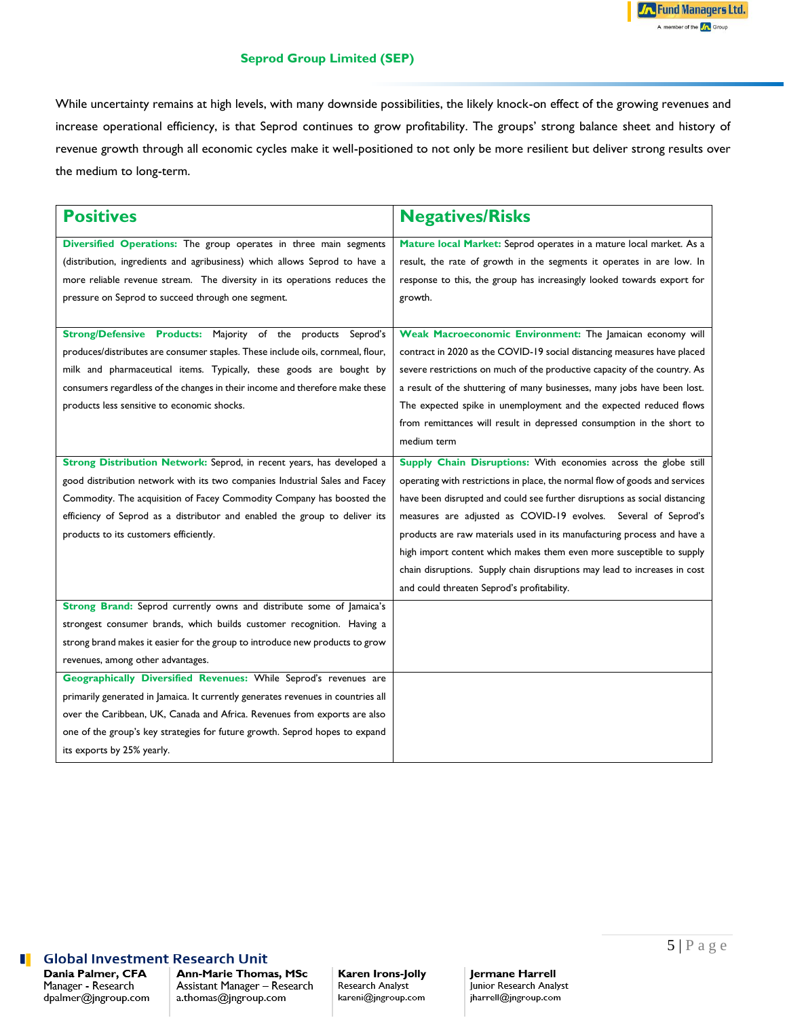### **Seprod Group Limited (SEP)**

While uncertainty remains at high levels, with many downside possibilities, the likely knock-on effect of the growing revenues and increase operational efficiency, is that Seprod continues to grow profitability. The groups' strong balance sheet and history of revenue growth through all economic cycles make it well-positioned to not only be more resilient but deliver strong results over the medium to long-term.

| <b>Positives</b>                                                                 | <b>Negatives/Risks</b>                                                      |
|----------------------------------------------------------------------------------|-----------------------------------------------------------------------------|
| Diversified Operations: The group operates in three main segments                | Mature local Market: Seprod operates in a mature local market. As a         |
| (distribution, ingredients and agribusiness) which allows Seprod to have a       | result, the rate of growth in the segments it operates in are low. In       |
| more reliable revenue stream. The diversity in its operations reduces the        | response to this, the group has increasingly looked towards export for      |
| pressure on Seprod to succeed through one segment.                               | growth.                                                                     |
|                                                                                  |                                                                             |
| Strong/Defensive Products: Majority of the products Seprod's                     | Weak Macroeconomic Environment: The Jamaican economy will                   |
| produces/distributes are consumer staples. These include oils, cornmeal, flour,  | contract in 2020 as the COVID-19 social distancing measures have placed     |
| milk and pharmaceutical items. Typically, these goods are bought by              | severe restrictions on much of the productive capacity of the country. As   |
| consumers regardless of the changes in their income and therefore make these     | a result of the shuttering of many businesses, many jobs have been lost.    |
| products less sensitive to economic shocks.                                      | The expected spike in unemployment and the expected reduced flows           |
|                                                                                  | from remittances will result in depressed consumption in the short to       |
|                                                                                  | medium term                                                                 |
| Strong Distribution Network: Seprod, in recent years, has developed a            | Supply Chain Disruptions: With economies across the globe still             |
| good distribution network with its two companies Industrial Sales and Facey      | operating with restrictions in place, the normal flow of goods and services |
| Commodity. The acquisition of Facey Commodity Company has boosted the            | have been disrupted and could see further disruptions as social distancing  |
| efficiency of Seprod as a distributor and enabled the group to deliver its       | measures are adjusted as COVID-19 evolves. Several of Seprod's              |
| products to its customers efficiently.                                           | products are raw materials used in its manufacturing process and have a     |
|                                                                                  | high import content which makes them even more susceptible to supply        |
|                                                                                  | chain disruptions. Supply chain disruptions may lead to increases in cost   |
|                                                                                  | and could threaten Seprod's profitability.                                  |
| Strong Brand: Seprod currently owns and distribute some of Jamaica's             |                                                                             |
| strongest consumer brands, which builds customer recognition. Having a           |                                                                             |
| strong brand makes it easier for the group to introduce new products to grow     |                                                                             |
| revenues, among other advantages.                                                |                                                                             |
| Geographically Diversified Revenues: While Seprod's revenues are                 |                                                                             |
| primarily generated in Jamaica. It currently generates revenues in countries all |                                                                             |
| over the Caribbean, UK, Canada and Africa. Revenues from exports are also        |                                                                             |
| one of the group's key strategies for future growth. Seprod hopes to expand      |                                                                             |
| its exports by 25% yearly.                                                       |                                                                             |

#### **Global Investment Research Unit** u

Dania Palmer, CFA Manager - Research dpalmer@jngroup.com Ann-Marie Thomas, MSc Assistant Manager - Research a.thomas@jngroup.com

#### Karen Irons-Jolly Research Analyst

kareni@jngroup.com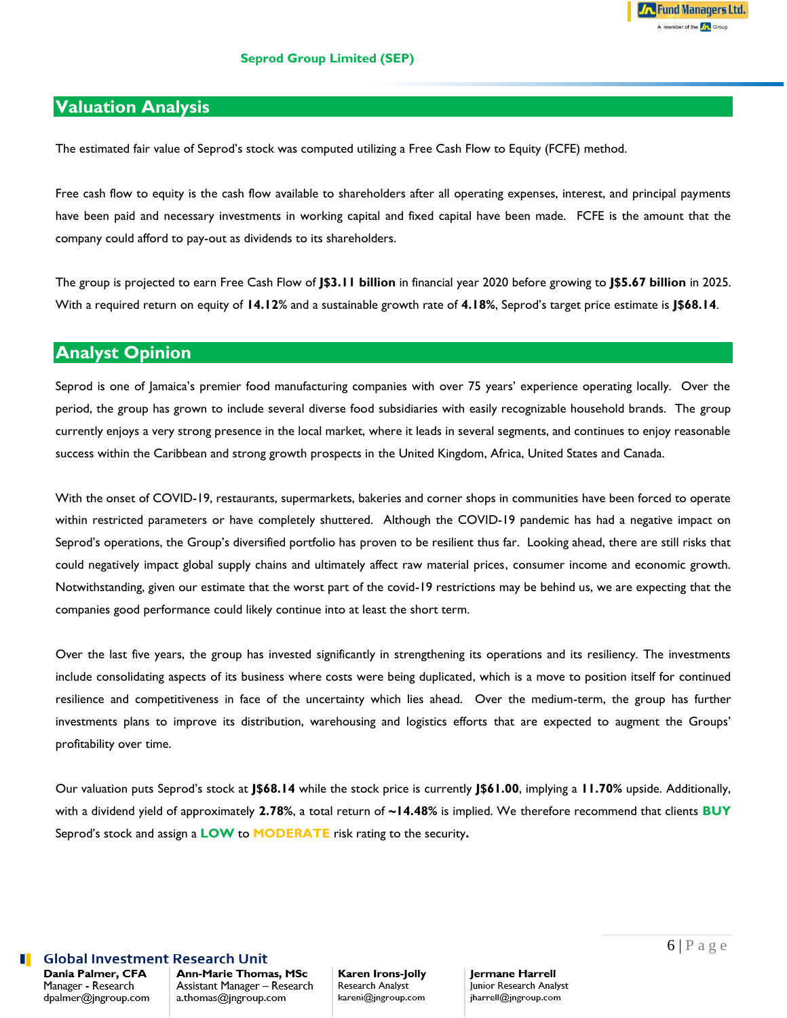The estimated fair value of Seprod's stock was computed utilizing a Free Cash Flow to Equity (FCFE) method.

Free cash flow to equity is the cash flow available to shareholders after all operating expenses, interest, and principal payments have been paid and necessary investments in working capital and fixed capital have been made. FCFE is the amount that the company could afford to pay-out as dividends to its shareholders.

The group is projected to earn Free Cash Flow of **J\$3.11 billion** in financial year 2020 before growing to **J\$5.67 billion** in 2025. With a required return on equity of **14.12**% and a sustainable growth rate of **4.18%**, Seprod's target price estimate is **J\$68.14**.

## **Analyst Opinion**

Seprod is one of Jamaica's premier food manufacturing companies with over 75 years' experience operating locally. Over the period, the group has grown to include several diverse food subsidiaries with easily recognizable household brands. The group currently enjoys a very strong presence in the local market, where it leads in several segments, and continues to enjoy reasonable success within the Caribbean and strong growth prospects in the United Kingdom, Africa, United States and Canada.

With the onset of COVID-19, restaurants, supermarkets, bakeries and corner shops in communities have been forced to operate within restricted parameters or have completely shuttered. Although the COVID-19 pandemic has had a negative impact on Seprod's operations, the Group's diversified portfolio has proven to be resilient thus far. Looking ahead, there are still risks that could negatively impact global supply chains and ultimately affect raw material prices, consumer income and economic growth. Notwithstanding, given our estimate that the worst part of the covid-19 restrictions may be behind us, we are expecting that the companies good performance could likely continue into at least the short term.

Over the last five years, the group has invested significantly in strengthening its operations and its resiliency. The investments include consolidating aspects of its business where costs were being duplicated, which is a move to position itself for continued resilience and competitiveness in face of the uncertainty which lies ahead. Over the medium-term, the group has further investments plans to improve its distribution, warehousing and logistics efforts that are expected to augment the Groups' profitability over time.

Our valuation puts Seprod's stock at **J\$68.14** while the stock price is currently **J\$61.00**, implying a **11.70%** upside. Additionally, with a dividend yield of approximately **2.78%**, a total return of **~14.48%** is implied. We therefore recommend that clients **BUY** Seprod's stock and assign a **LOW** to **MODERATE** risk rating to the security**.** 

## **Global Investment Research Unit**

Dania Palmer, CFA Manager - Research dpalmer@jngroup.com Ann-Marie Thomas, MSc Assistant Manager - Research a.thomas@jngroup.com

### Karen Irons-Jolly Research Analyst kareni@jngroup.com

Jermane Harrell Junior Research Analyst jharrell@jngroup.com

**Fund Managers Ltd.** A member of the **A** Group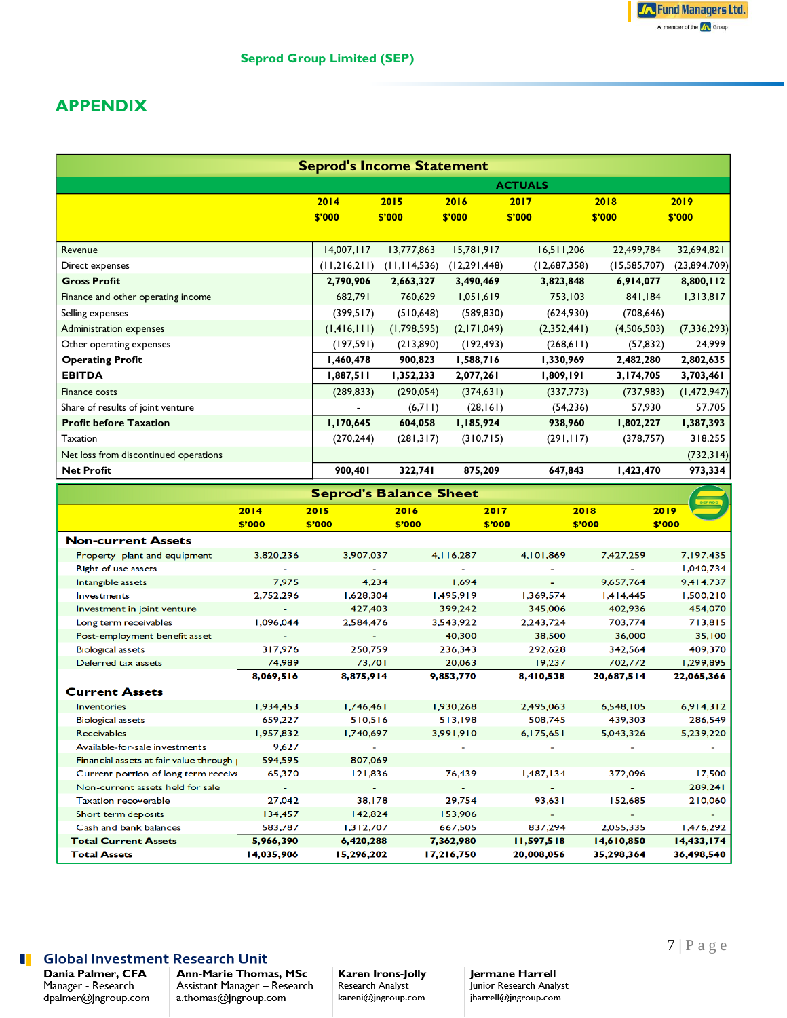## **APPENDIX**

| <b>Seprod's Income Statement</b>      |                |                |              |              |                |               |  |
|---------------------------------------|----------------|----------------|--------------|--------------|----------------|---------------|--|
|                                       | <b>ACTUALS</b> |                |              |              |                |               |  |
|                                       | 2014           | 2015           | 2016         | 2017         | 2018           | 2019          |  |
|                                       | \$'000         | \$'000         | \$'000       | \$'000       | \$'000         | \$'000        |  |
|                                       |                |                |              |              |                |               |  |
| Revenue                               | 14,007,117     | 13,777,863     | 15,781,917   | 16,511,206   | 22,499,784     | 32,694,821    |  |
| Direct expenses                       | (11,216,211)   | (11, 114, 536) | (12,291,448) | (12,687,358) | (15, 585, 707) | (23,894,709)  |  |
| <b>Gross Profit</b>                   | 2,790,906      | 2,663,327      | 3,490,469    | 3,823,848    | 6,914,077      | 8,800,112     |  |
| Finance and other operating income    | 682,791        | 760,629        | 1,051,619    | 753,103      | 841,184        | 1,313,817     |  |
| Selling expenses                      | (399,517)      | (510, 648)     | (589, 830)   | (624,930)    | (708, 646)     |               |  |
| Administration expenses               | (1,416,111)    | (1,798,595)    | (2,171,049)  | (2,352,441)  | (4,506,503)    | (7, 336, 293) |  |
| Other operating expenses              | (197, 591)     | (213,890)      | (192, 493)   | (268,611)    | (57, 832)      | 24,999        |  |
| <b>Operating Profit</b>               | 1,460,478      | 900,823        | 1,588,716    | 1,330,969    | 2,482,280      | 2,802,635     |  |
| <b>EBITDA</b>                         | 1,887,511      | 1,352,233      | 2,077,261    | 1,809,191    | 3,174,705      | 3,703,461     |  |
| Finance costs                         | (289, 833)     | (290, 054)     | (374, 631)   | (337,773)    | (737,983)      | (1,472,947)   |  |
| Share of results of joint venture     |                | (6,711)        | (28, 161)    | (54, 236)    | 57,930         | 57,705        |  |
| <b>Profit before Taxation</b>         | 1,170,645      | 604,058        | 1,185,924    | 938,960      | 1,802,227      | 1,387,393     |  |
| Taxation                              | (270, 244)     | (281,317)      | (310,715)    | (291, 117)   | (378, 757)     | 318,255       |  |
| Net loss from discontinued operations |                |                |              |              |                | (732, 314)    |  |
| <b>Net Profit</b>                     | 900,401        | 322,741        | 875,209      | 647,843      | 1,423,470      | 973,334       |  |

| <b>Seprod's Balance Sheet</b>          |            |            |             |            |            |            |  |
|----------------------------------------|------------|------------|-------------|------------|------------|------------|--|
|                                        | 2014       | 2015       | 2016        | 2017       | 2018       | 2019       |  |
|                                        | \$'000     | \$'000     | \$'000      | \$'000     | \$'000     | \$'000     |  |
| <b>Non-current Assets</b>              |            |            |             |            |            |            |  |
| Property plant and equipment           | 3,820,236  | 3,907,037  | 4, 116, 287 | 4,101,869  | 7,427,259  | 7,197,435  |  |
| Right of use assets                    |            |            |             |            |            | 1,040,734  |  |
| Intangible assets                      | 7,975      | 4,234      | 1,694       |            | 9,657,764  | 9,414,737  |  |
| Investments                            | 2,752,296  | 1,628,304  | 1,495,919   | 1,369,574  | 1,414,445  | 1,500,210  |  |
| Investment in joint venture            |            | 427,403    | 399,242     | 345,006    | 402,936    | 454,070    |  |
| Long term receivables                  | 1,096,044  | 2,584,476  | 3,543,922   | 2,243,724  | 703,774    | 713,815    |  |
| Post-employment benefit asset          |            |            | 40,300      | 38,500     | 36,000     | 35,100     |  |
| <b>Biological assets</b>               | 317,976    | 250,759    | 236,343     | 292,628    | 342,564    | 409,370    |  |
| Deferred tax assets                    | 74,989     | 73,701     | 20,063      | 19,237     | 702,772    | 1,299,895  |  |
|                                        | 8,069,516  | 8,875,914  | 9,853,770   | 8,410,538  | 20,687,514 | 22,065,366 |  |
| <b>Current Assets</b>                  |            |            |             |            |            |            |  |
| <b>Inventories</b>                     | 1,934,453  | 1,746,461  | 1,930,268   | 2,495,063  | 6,548,105  | 6,914,312  |  |
| <b>Biological assets</b>               | 659,227    | 510,516    | 513,198     | 508,745    | 439,303    | 286,549    |  |
| <b>Receivables</b>                     | 1,957,832  | 1,740,697  | 3,991,910   | 6,175,651  | 5,043,326  | 5,239,220  |  |
| Available-for-sale investments         | 9,627      |            |             |            |            |            |  |
| Financial assets at fair value through | 594,595    | 807,069    |             |            |            |            |  |
| Current portion of long term receiva   | 65,370     | 121,836    | 76,439      | 1,487,134  | 372,096    | 17,500     |  |
| Non-current assets held for sale       | ٠          |            |             |            |            | 289,241    |  |
| <b>Taxation recoverable</b>            | 27,042     | 38,178     | 29,754      | 93,631     | 152,685    | 210,060    |  |
| Short term deposits                    | 134,457    | 142,824    | 153,906     |            |            |            |  |
| Cash and bank balances                 | 583,787    | 1,312,707  | 667,505     | 837,294    | 2,055,335  | 1,476,292  |  |
| <b>Total Current Assets</b>            | 5,966,390  | 6,420,288  | 7,362,980   | 11,597,518 | 14,610,850 | 14,433,174 |  |
| <b>Total Assets</b>                    | 14,035,906 | 15,296,202 | 17,216,750  | 20,008,056 | 35,298,364 | 36,498,540 |  |

## **Solution** Global Investment Research Unit

Dania Palmer, CFA Manager - Research<br>dpalmer@jngroup.com Ann-Marie Thomas, MSc Assistant Manager - Research a.thomas@jngroup.com

### Karen Irons-Jolly Research Analyst

kareni@jngroup.com